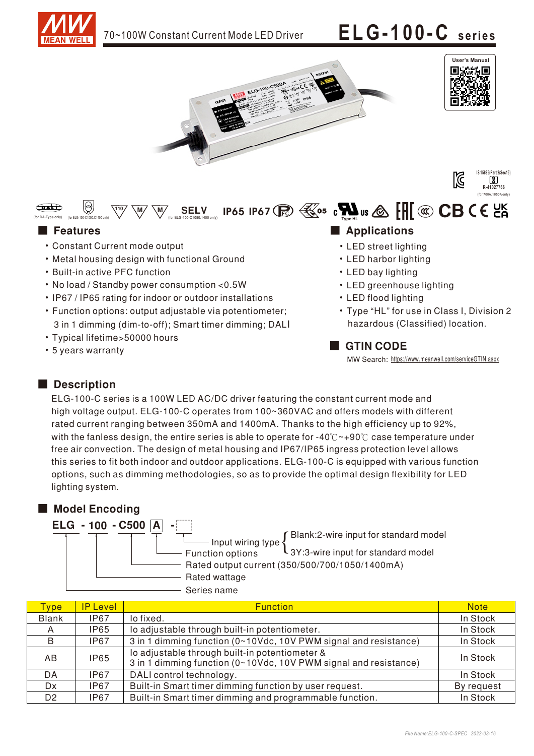

- Typical lifetime>50000 hours
- 5 years warranty

■ GTIN CODE

MW Search: https://www.meanwell.com/serviceGTIN.aspx

### Description

ELG-100-C series is a 100W LED AC/DC driver featuring the constant current mode and high voltage output. ELG-100-C operates from 100~360VAC and offers models with different rated current ranging between 350mA and 1400mA. Thanks to the high efficiency up to 92%, with the fanless design, the entire series is able to operate for -40° $C \sim +90$ ° $C$  case temperature under free air convection. The design of metal housing and IP67/IP65 ingress protection level allows this series to fit both indoor and outdoor applications. ELG-100-C is equipped with various function options, such as dimming methodologies, so as to provide the optimal design flexibility for LED lighting system.

### ■ Model Encoding

ELG - 100 - C500 A Rated wattage Series name **Function options** Rated output current (350/500/700/1050/1400mA) Input wiring type  ${\sup_{3Y:3\text{-wire input for standard model}}}$ -

| <b>Type</b>    | <b>IP Level</b> | <b>Function</b>                                                                                                    | <b>Note</b> |
|----------------|-----------------|--------------------------------------------------------------------------------------------------------------------|-------------|
| <b>Blank</b>   | IP67            | lo fixed.                                                                                                          | In Stock    |
| A              | IP65            | lo adjustable through built-in potentiometer.                                                                      | In Stock    |
| <sub>B</sub>   | IP67            | 3 in 1 dimming function (0~10Vdc, 10V PWM signal and resistance)                                                   | In Stock    |
| AB             | <b>IP65</b>     | lo adjustable through built-in potentiometer &<br>3 in 1 dimming function (0~10Vdc, 10V PWM signal and resistance) | In Stock    |
| DA             | IP67            | DALI control technology.                                                                                           | In Stock    |
| Dx.            | IP67            | Built-in Smart timer dimming function by user request.                                                             | By request  |
| D <sub>2</sub> | <b>IP67</b>     | Built-in Smart timer dimming and programmable function.                                                            | In Stock    |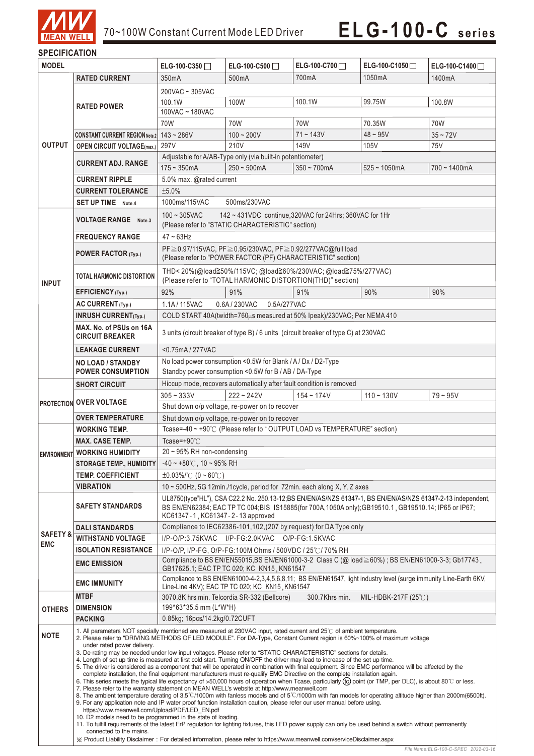

### **SPECIFICATION**

| <b>MODEL</b>                                                                                                                                                                 |                                                                                                                                                                                                                                                                                                                                                                                                                                                                                                                                                                                                                                                                                                                                                                                                                                                                                                                                                                                                                                                                                                                                                                                                                                                                                                                                                                                                                                                                                                                                                                                                                                                                                                                                                                                                                            | ELG-100-C350                                                                                                                                                                                                                                                         | ELG-100-C500                                                         | ELG-100-C700                                                            | ELG-100-C1050            | ELG-100-C1400   |  |
|------------------------------------------------------------------------------------------------------------------------------------------------------------------------------|----------------------------------------------------------------------------------------------------------------------------------------------------------------------------------------------------------------------------------------------------------------------------------------------------------------------------------------------------------------------------------------------------------------------------------------------------------------------------------------------------------------------------------------------------------------------------------------------------------------------------------------------------------------------------------------------------------------------------------------------------------------------------------------------------------------------------------------------------------------------------------------------------------------------------------------------------------------------------------------------------------------------------------------------------------------------------------------------------------------------------------------------------------------------------------------------------------------------------------------------------------------------------------------------------------------------------------------------------------------------------------------------------------------------------------------------------------------------------------------------------------------------------------------------------------------------------------------------------------------------------------------------------------------------------------------------------------------------------------------------------------------------------------------------------------------------------|----------------------------------------------------------------------------------------------------------------------------------------------------------------------------------------------------------------------------------------------------------------------|----------------------------------------------------------------------|-------------------------------------------------------------------------|--------------------------|-----------------|--|
|                                                                                                                                                                              | <b>RATED CURRENT</b>                                                                                                                                                                                                                                                                                                                                                                                                                                                                                                                                                                                                                                                                                                                                                                                                                                                                                                                                                                                                                                                                                                                                                                                                                                                                                                                                                                                                                                                                                                                                                                                                                                                                                                                                                                                                       | 350 <sub>m</sub> A                                                                                                                                                                                                                                                   | 500mA                                                                | 700mA                                                                   | 1050mA                   | 1400mA          |  |
|                                                                                                                                                                              |                                                                                                                                                                                                                                                                                                                                                                                                                                                                                                                                                                                                                                                                                                                                                                                                                                                                                                                                                                                                                                                                                                                                                                                                                                                                                                                                                                                                                                                                                                                                                                                                                                                                                                                                                                                                                            | 200VAC ~ 305VAC                                                                                                                                                                                                                                                      |                                                                      |                                                                         |                          |                 |  |
|                                                                                                                                                                              | <b>RATED POWER</b>                                                                                                                                                                                                                                                                                                                                                                                                                                                                                                                                                                                                                                                                                                                                                                                                                                                                                                                                                                                                                                                                                                                                                                                                                                                                                                                                                                                                                                                                                                                                                                                                                                                                                                                                                                                                         | 100W<br>100.1W<br>99.75W<br>100.1W<br>100.8W                                                                                                                                                                                                                         |                                                                      |                                                                         |                          |                 |  |
|                                                                                                                                                                              |                                                                                                                                                                                                                                                                                                                                                                                                                                                                                                                                                                                                                                                                                                                                                                                                                                                                                                                                                                                                                                                                                                                                                                                                                                                                                                                                                                                                                                                                                                                                                                                                                                                                                                                                                                                                                            | 100VAC ~ 180VAC                                                                                                                                                                                                                                                      |                                                                      |                                                                         |                          |                 |  |
|                                                                                                                                                                              |                                                                                                                                                                                                                                                                                                                                                                                                                                                                                                                                                                                                                                                                                                                                                                                                                                                                                                                                                                                                                                                                                                                                                                                                                                                                                                                                                                                                                                                                                                                                                                                                                                                                                                                                                                                                                            | 70W                                                                                                                                                                                                                                                                  | <b>70W</b>                                                           | <b>70W</b>                                                              | 70.35W                   | <b>70W</b>      |  |
|                                                                                                                                                                              | <b>CONSTANT CURRENT REGION Note.2</b>                                                                                                                                                                                                                                                                                                                                                                                                                                                                                                                                                                                                                                                                                                                                                                                                                                                                                                                                                                                                                                                                                                                                                                                                                                                                                                                                                                                                                                                                                                                                                                                                                                                                                                                                                                                      | $143 - 286V$                                                                                                                                                                                                                                                         | $100 - 200V$                                                         | $71 - 143V$                                                             | $48 - 95V$               | $35 - 72V$      |  |
| <b>OUTPUT</b>                                                                                                                                                                | <b>OPEN CIRCUIT VOLTAGE(max.)</b>                                                                                                                                                                                                                                                                                                                                                                                                                                                                                                                                                                                                                                                                                                                                                                                                                                                                                                                                                                                                                                                                                                                                                                                                                                                                                                                                                                                                                                                                                                                                                                                                                                                                                                                                                                                          | 297V                                                                                                                                                                                                                                                                 | 210V                                                                 | 149V                                                                    | 105V                     | 75V             |  |
|                                                                                                                                                                              |                                                                                                                                                                                                                                                                                                                                                                                                                                                                                                                                                                                                                                                                                                                                                                                                                                                                                                                                                                                                                                                                                                                                                                                                                                                                                                                                                                                                                                                                                                                                                                                                                                                                                                                                                                                                                            | Adjustable for A/AB-Type only (via built-in potentiometer)                                                                                                                                                                                                           |                                                                      |                                                                         |                          |                 |  |
|                                                                                                                                                                              | <b>CURRENT ADJ. RANGE</b>                                                                                                                                                                                                                                                                                                                                                                                                                                                                                                                                                                                                                                                                                                                                                                                                                                                                                                                                                                                                                                                                                                                                                                                                                                                                                                                                                                                                                                                                                                                                                                                                                                                                                                                                                                                                  | $175 - 350$ mA                                                                                                                                                                                                                                                       | $250 - 500$ mA                                                       | $350 - 700$ mA                                                          | $525 - 1050$ mA          | $700 - 1400$ mA |  |
|                                                                                                                                                                              | <b>CURRENT RIPPLE</b>                                                                                                                                                                                                                                                                                                                                                                                                                                                                                                                                                                                                                                                                                                                                                                                                                                                                                                                                                                                                                                                                                                                                                                                                                                                                                                                                                                                                                                                                                                                                                                                                                                                                                                                                                                                                      | 5.0% max. @rated current                                                                                                                                                                                                                                             |                                                                      |                                                                         |                          |                 |  |
|                                                                                                                                                                              | <b>CURRENT TOLERANCE</b>                                                                                                                                                                                                                                                                                                                                                                                                                                                                                                                                                                                                                                                                                                                                                                                                                                                                                                                                                                                                                                                                                                                                                                                                                                                                                                                                                                                                                                                                                                                                                                                                                                                                                                                                                                                                   | ±5.0%                                                                                                                                                                                                                                                                |                                                                      |                                                                         |                          |                 |  |
|                                                                                                                                                                              | SET UP TIME Note.4                                                                                                                                                                                                                                                                                                                                                                                                                                                                                                                                                                                                                                                                                                                                                                                                                                                                                                                                                                                                                                                                                                                                                                                                                                                                                                                                                                                                                                                                                                                                                                                                                                                                                                                                                                                                         | 1000ms/115VAC<br>500ms/230VAC                                                                                                                                                                                                                                        |                                                                      |                                                                         |                          |                 |  |
|                                                                                                                                                                              | <b>VOLTAGE RANGE</b> Note.3                                                                                                                                                                                                                                                                                                                                                                                                                                                                                                                                                                                                                                                                                                                                                                                                                                                                                                                                                                                                                                                                                                                                                                                                                                                                                                                                                                                                                                                                                                                                                                                                                                                                                                                                                                                                | 142 ~ 431VDC continue, 320VAC for 24Hrs; 360VAC for 1Hr<br>$100 - 305$ VAC<br>(Please refer to "STATIC CHARACTERISTIC" section)                                                                                                                                      |                                                                      |                                                                         |                          |                 |  |
|                                                                                                                                                                              | <b>FREQUENCY RANGE</b>                                                                                                                                                                                                                                                                                                                                                                                                                                                                                                                                                                                                                                                                                                                                                                                                                                                                                                                                                                                                                                                                                                                                                                                                                                                                                                                                                                                                                                                                                                                                                                                                                                                                                                                                                                                                     | $47 - 63$ Hz                                                                                                                                                                                                                                                         |                                                                      |                                                                         |                          |                 |  |
| <b>INPUT</b>                                                                                                                                                                 | POWER FACTOR (Typ.)                                                                                                                                                                                                                                                                                                                                                                                                                                                                                                                                                                                                                                                                                                                                                                                                                                                                                                                                                                                                                                                                                                                                                                                                                                                                                                                                                                                                                                                                                                                                                                                                                                                                                                                                                                                                        | PF≥0.97/115VAC, PF≥0.95/230VAC, PF≥0.92/277VAC@full load<br>(Please refer to "POWER FACTOR (PF) CHARACTERISTIC" section)                                                                                                                                             |                                                                      |                                                                         |                          |                 |  |
|                                                                                                                                                                              | <b>TOTAL HARMONIC DISTORTION</b>                                                                                                                                                                                                                                                                                                                                                                                                                                                                                                                                                                                                                                                                                                                                                                                                                                                                                                                                                                                                                                                                                                                                                                                                                                                                                                                                                                                                                                                                                                                                                                                                                                                                                                                                                                                           | THD<20%(@load≧50%/115VC; @load≧60%/230VAC; @load≧75%/277VAC)<br>(Please refer to "TOTAL HARMONIC DISTORTION(THD)" section)                                                                                                                                           |                                                                      |                                                                         |                          |                 |  |
|                                                                                                                                                                              | <b>EFFICIENCY</b> (Typ.)                                                                                                                                                                                                                                                                                                                                                                                                                                                                                                                                                                                                                                                                                                                                                                                                                                                                                                                                                                                                                                                                                                                                                                                                                                                                                                                                                                                                                                                                                                                                                                                                                                                                                                                                                                                                   | 92%                                                                                                                                                                                                                                                                  | 91%                                                                  | 91%                                                                     | 90%                      | 90%             |  |
|                                                                                                                                                                              | AC CURRENT (Typ.)                                                                                                                                                                                                                                                                                                                                                                                                                                                                                                                                                                                                                                                                                                                                                                                                                                                                                                                                                                                                                                                                                                                                                                                                                                                                                                                                                                                                                                                                                                                                                                                                                                                                                                                                                                                                          | 1.1A/115VAC                                                                                                                                                                                                                                                          | 0.6A/230VAC<br>0.5A/277VAC                                           |                                                                         |                          |                 |  |
|                                                                                                                                                                              | <b>INRUSH CURRENT(Typ.)</b>                                                                                                                                                                                                                                                                                                                                                                                                                                                                                                                                                                                                                                                                                                                                                                                                                                                                                                                                                                                                                                                                                                                                                                                                                                                                                                                                                                                                                                                                                                                                                                                                                                                                                                                                                                                                |                                                                                                                                                                                                                                                                      |                                                                      | COLD START 40A(twidth=760µs measured at 50% Ipeak)/230VAC; Per NEMA 410 |                          |                 |  |
|                                                                                                                                                                              | MAX. No. of PSUs on 16A<br><b>CIRCUIT BREAKER</b>                                                                                                                                                                                                                                                                                                                                                                                                                                                                                                                                                                                                                                                                                                                                                                                                                                                                                                                                                                                                                                                                                                                                                                                                                                                                                                                                                                                                                                                                                                                                                                                                                                                                                                                                                                          | 3 units (circuit breaker of type B) / 6 units (circuit breaker of type C) at 230VAC                                                                                                                                                                                  |                                                                      |                                                                         |                          |                 |  |
|                                                                                                                                                                              | <b>LEAKAGE CURRENT</b>                                                                                                                                                                                                                                                                                                                                                                                                                                                                                                                                                                                                                                                                                                                                                                                                                                                                                                                                                                                                                                                                                                                                                                                                                                                                                                                                                                                                                                                                                                                                                                                                                                                                                                                                                                                                     | <0.75mA/277VAC                                                                                                                                                                                                                                                       |                                                                      |                                                                         |                          |                 |  |
| No load power consumption <0.5W for Blank / A / Dx / D2-Type<br><b>NO LOAD / STANDBY</b><br>Standby power consumption <0.5W for B / AB / DA-Type<br><b>POWER CONSUMPTION</b> |                                                                                                                                                                                                                                                                                                                                                                                                                                                                                                                                                                                                                                                                                                                                                                                                                                                                                                                                                                                                                                                                                                                                                                                                                                                                                                                                                                                                                                                                                                                                                                                                                                                                                                                                                                                                                            |                                                                                                                                                                                                                                                                      |                                                                      |                                                                         |                          |                 |  |
|                                                                                                                                                                              | <b>SHORT CIRCUIT</b>                                                                                                                                                                                                                                                                                                                                                                                                                                                                                                                                                                                                                                                                                                                                                                                                                                                                                                                                                                                                                                                                                                                                                                                                                                                                                                                                                                                                                                                                                                                                                                                                                                                                                                                                                                                                       |                                                                                                                                                                                                                                                                      | Hiccup mode, recovers automatically after fault condition is removed |                                                                         |                          |                 |  |
|                                                                                                                                                                              |                                                                                                                                                                                                                                                                                                                                                                                                                                                                                                                                                                                                                                                                                                                                                                                                                                                                                                                                                                                                                                                                                                                                                                                                                                                                                                                                                                                                                                                                                                                                                                                                                                                                                                                                                                                                                            | $305 - 333V$                                                                                                                                                                                                                                                         | $222 - 242V$                                                         | $154 - 174V$                                                            | $110 - 130V$             | $79 - 95V$      |  |
|                                                                                                                                                                              | <b>PROTECTION OVER VOLTAGE</b>                                                                                                                                                                                                                                                                                                                                                                                                                                                                                                                                                                                                                                                                                                                                                                                                                                                                                                                                                                                                                                                                                                                                                                                                                                                                                                                                                                                                                                                                                                                                                                                                                                                                                                                                                                                             |                                                                                                                                                                                                                                                                      | Shut down o/p voltage, re-power on to recover                        |                                                                         |                          |                 |  |
|                                                                                                                                                                              | <b>OVER TEMPERATURE</b>                                                                                                                                                                                                                                                                                                                                                                                                                                                                                                                                                                                                                                                                                                                                                                                                                                                                                                                                                                                                                                                                                                                                                                                                                                                                                                                                                                                                                                                                                                                                                                                                                                                                                                                                                                                                    | Shut down o/p voltage, re-power on to recover                                                                                                                                                                                                                        |                                                                      |                                                                         |                          |                 |  |
|                                                                                                                                                                              | <b>WORKING TEMP.</b>                                                                                                                                                                                                                                                                                                                                                                                                                                                                                                                                                                                                                                                                                                                                                                                                                                                                                                                                                                                                                                                                                                                                                                                                                                                                                                                                                                                                                                                                                                                                                                                                                                                                                                                                                                                                       | Tcase=-40 ~ +90°C (Please refer to "OUTPUT LOAD vs TEMPERATURE" section)                                                                                                                                                                                             |                                                                      |                                                                         |                          |                 |  |
|                                                                                                                                                                              | <b>MAX. CASE TEMP.</b>                                                                                                                                                                                                                                                                                                                                                                                                                                                                                                                                                                                                                                                                                                                                                                                                                                                                                                                                                                                                                                                                                                                                                                                                                                                                                                                                                                                                                                                                                                                                                                                                                                                                                                                                                                                                     | Tcase=+90°C                                                                                                                                                                                                                                                          |                                                                      |                                                                         |                          |                 |  |
| <b>ENVIRONMENT</b>                                                                                                                                                           | <b>WORKING HUMIDITY</b>                                                                                                                                                                                                                                                                                                                                                                                                                                                                                                                                                                                                                                                                                                                                                                                                                                                                                                                                                                                                                                                                                                                                                                                                                                                                                                                                                                                                                                                                                                                                                                                                                                                                                                                                                                                                    | 20~95% RH non-condensing                                                                                                                                                                                                                                             |                                                                      |                                                                         |                          |                 |  |
|                                                                                                                                                                              |                                                                                                                                                                                                                                                                                                                                                                                                                                                                                                                                                                                                                                                                                                                                                                                                                                                                                                                                                                                                                                                                                                                                                                                                                                                                                                                                                                                                                                                                                                                                                                                                                                                                                                                                                                                                                            | STORAGE TEMP., HUMIDITY $-40 \sim +80^{\circ}$ C, 10 ~ 95% RH                                                                                                                                                                                                        |                                                                      |                                                                         |                          |                 |  |
|                                                                                                                                                                              | <b>TEMP. COEFFICIENT</b>                                                                                                                                                                                                                                                                                                                                                                                                                                                                                                                                                                                                                                                                                                                                                                                                                                                                                                                                                                                                                                                                                                                                                                                                                                                                                                                                                                                                                                                                                                                                                                                                                                                                                                                                                                                                   | $\pm 0.03\%$ /°C (0 ~ 60°C)                                                                                                                                                                                                                                          |                                                                      |                                                                         |                          |                 |  |
|                                                                                                                                                                              | <b>VIBRATION</b>                                                                                                                                                                                                                                                                                                                                                                                                                                                                                                                                                                                                                                                                                                                                                                                                                                                                                                                                                                                                                                                                                                                                                                                                                                                                                                                                                                                                                                                                                                                                                                                                                                                                                                                                                                                                           | 10 ~ 500Hz, 5G 12min./1cycle, period for 72min. each along X, Y, Z axes                                                                                                                                                                                              |                                                                      |                                                                         |                          |                 |  |
|                                                                                                                                                                              | <b>SAFETY STANDARDS</b>                                                                                                                                                                                                                                                                                                                                                                                                                                                                                                                                                                                                                                                                                                                                                                                                                                                                                                                                                                                                                                                                                                                                                                                                                                                                                                                                                                                                                                                                                                                                                                                                                                                                                                                                                                                                    | UL8750(type"HL"), CSA C22.2 No. 250.13-12;BS EN/EN/AS/NZS 61347-1, BS EN/EN/AS/NZS 61347-2-13 independent,<br>BS EN/EN62384; EAC TP TC 004;BIS IS15885(for 700A, 1050A only); GB19510.1, GB19510.14; IP65 or IP67;<br>KC61347 - 1, KC61347 - 2 - 13 approved         |                                                                      |                                                                         |                          |                 |  |
|                                                                                                                                                                              | <b>DALI STANDARDS</b>                                                                                                                                                                                                                                                                                                                                                                                                                                                                                                                                                                                                                                                                                                                                                                                                                                                                                                                                                                                                                                                                                                                                                                                                                                                                                                                                                                                                                                                                                                                                                                                                                                                                                                                                                                                                      | Compliance to IEC62386-101, 102, (207 by request) for DA Type only                                                                                                                                                                                                   |                                                                      |                                                                         |                          |                 |  |
| <b>SAFETY &amp;</b><br><b>EMC</b>                                                                                                                                            | <b>WITHSTAND VOLTAGE</b>                                                                                                                                                                                                                                                                                                                                                                                                                                                                                                                                                                                                                                                                                                                                                                                                                                                                                                                                                                                                                                                                                                                                                                                                                                                                                                                                                                                                                                                                                                                                                                                                                                                                                                                                                                                                   | $I/P$ -O/P:3.75KVAC<br>I/P-FG:2.0KVAC O/P-FG:1.5KVAC                                                                                                                                                                                                                 |                                                                      |                                                                         |                          |                 |  |
|                                                                                                                                                                              | <b>ISOLATION RESISTANCE</b>                                                                                                                                                                                                                                                                                                                                                                                                                                                                                                                                                                                                                                                                                                                                                                                                                                                                                                                                                                                                                                                                                                                                                                                                                                                                                                                                                                                                                                                                                                                                                                                                                                                                                                                                                                                                | I/P-O/P, I/P-FG, O/P-FG:100M Ohms / 500VDC / 25℃/ 70% RH                                                                                                                                                                                                             |                                                                      |                                                                         |                          |                 |  |
|                                                                                                                                                                              | <b>EMC EMISSION</b>                                                                                                                                                                                                                                                                                                                                                                                                                                                                                                                                                                                                                                                                                                                                                                                                                                                                                                                                                                                                                                                                                                                                                                                                                                                                                                                                                                                                                                                                                                                                                                                                                                                                                                                                                                                                        | Compliance to BS EN/EN55015,BS EN/EN61000-3-2 Class C (@ load ≥ 60%); BS EN/EN61000-3-3; Gb17743,<br>GB17625.1; EAC TP TC 020; KC KN15, KN61547<br>Compliance to BS EN/EN61000-4-2,3,4,5,6,8,11; BS EN/EN61547, light industry level (surge immunity Line-Earth 6KV, |                                                                      |                                                                         |                          |                 |  |
|                                                                                                                                                                              | <b>EMC IMMUNITY</b>                                                                                                                                                                                                                                                                                                                                                                                                                                                                                                                                                                                                                                                                                                                                                                                                                                                                                                                                                                                                                                                                                                                                                                                                                                                                                                                                                                                                                                                                                                                                                                                                                                                                                                                                                                                                        | Line-Line 4KV); EAC TP TC 020; KC KN15, KN61547                                                                                                                                                                                                                      |                                                                      |                                                                         |                          |                 |  |
|                                                                                                                                                                              | <b>MTBF</b>                                                                                                                                                                                                                                                                                                                                                                                                                                                                                                                                                                                                                                                                                                                                                                                                                                                                                                                                                                                                                                                                                                                                                                                                                                                                                                                                                                                                                                                                                                                                                                                                                                                                                                                                                                                                                | 3070.8K hrs min. Telcordia SR-332 (Bellcore)                                                                                                                                                                                                                         |                                                                      | 300.7Khrs min.                                                          | MIL-HDBK-217F (25 $°C$ ) |                 |  |
| <b>OTHERS</b>                                                                                                                                                                | <b>DIMENSION</b>                                                                                                                                                                                                                                                                                                                                                                                                                                                                                                                                                                                                                                                                                                                                                                                                                                                                                                                                                                                                                                                                                                                                                                                                                                                                                                                                                                                                                                                                                                                                                                                                                                                                                                                                                                                                           | 199*63*35.5 mm (L*W*H)                                                                                                                                                                                                                                               |                                                                      |                                                                         |                          |                 |  |
|                                                                                                                                                                              | <b>PACKING</b>                                                                                                                                                                                                                                                                                                                                                                                                                                                                                                                                                                                                                                                                                                                                                                                                                                                                                                                                                                                                                                                                                                                                                                                                                                                                                                                                                                                                                                                                                                                                                                                                                                                                                                                                                                                                             | 0.85kg; 16pcs/14.2kg/0.72CUFT                                                                                                                                                                                                                                        |                                                                      |                                                                         |                          |                 |  |
| <b>NOTE</b>                                                                                                                                                                  | 1. All parameters NOT specially mentioned are measured at 230VAC input, rated current and 25°C of ambient temperature.<br>2. Please refer to "DRIVING METHODS OF LED MODULE". For DA-Type, Constant Current region is 60%~100% of maximum voltage<br>under rated power delivery.<br>3. De-rating may be needed under low input voltages. Please refer to "STATIC CHARACTERISTIC" sections for details.<br>4. Length of set up time is measured at first cold start. Turning ON/OFF the driver may lead to increase of the set up time.<br>5. The driver is considered as a component that will be operated in combination with final equipment. Since EMC performance will be affected by the<br>complete installation, the final equipment manufacturers must re-qualify EMC Directive on the complete installation again.<br>6. This series meets the typical life expectancy of >50,000 hours of operation when Tcase, particularly (tc) point (or TMP, per DLC), is about 80℃ or less.<br>7. Please refer to the warranty statement on MEAN WELL's website at http://www.meanwell.com<br>8. The ambient temperature derating of 3.5°C/1000m with fanless models and of 5°C/1000m with fan models for operating altitude higher than 2000m(6500ft).<br>9. For any application note and IP water proof function installation caution, please refer our user manual before using.<br>https://www.meanwell.com/Upload/PDF/LED EN.pdf<br>10. D2 models need to be programmed in the state of loading.<br>11. To fulfill requirements of the latest ErP regulation for lighting fixtures, this LED power supply can only be used behind a switch without permanently<br>connected to the mains.<br>X Product Liability Disclaimer: For detailed information, please refer to https://www.meanwell.com/serviceDisclaimer.aspx |                                                                                                                                                                                                                                                                      |                                                                      |                                                                         |                          |                 |  |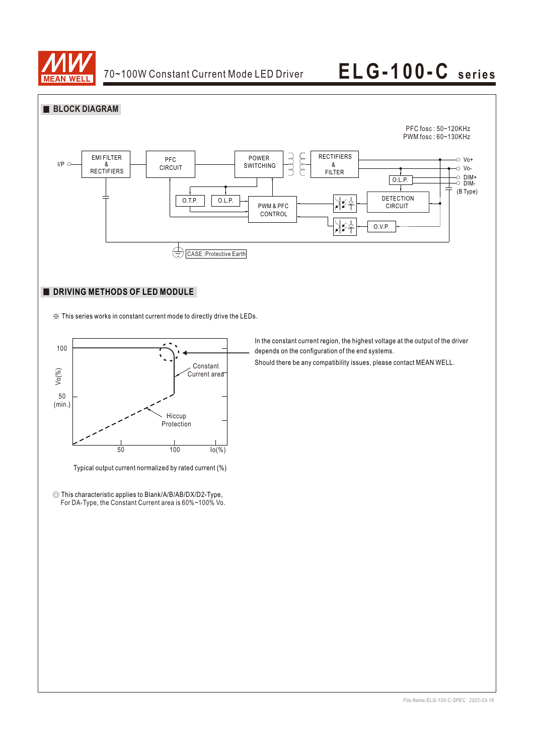



### **DRIVING METHODS OF LED MODULE**

※ This series works in constant current mode to directly drive the LEDs.



Typical output current normalized by rated current (%)

◎ This characteristic applies to Blank/A/B/AB/DX/D2-Type, For DA-Type, the Constant Current area is 60%~100% Vo. In the constant current region, the highest voltage at the output of the driver depends on the configuration of the end systems.

Should there be any compatibility issues, please contact MEAN WELL.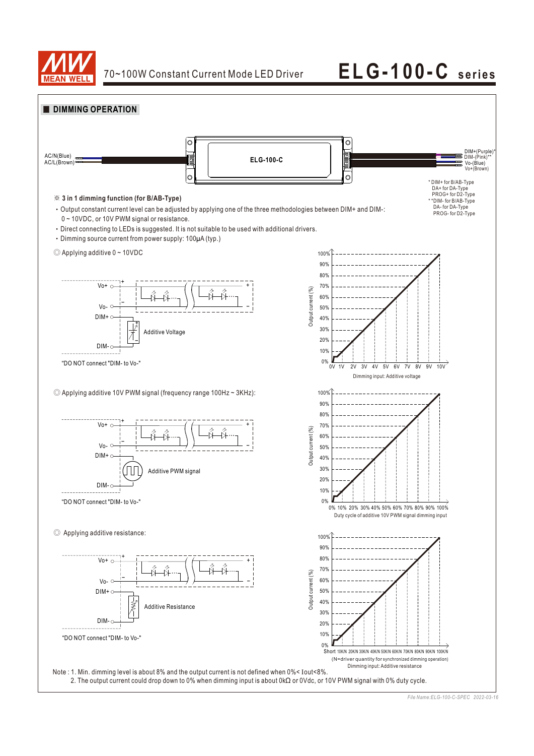



*File Name:ELG-100-C-SPEC 2022-03-16*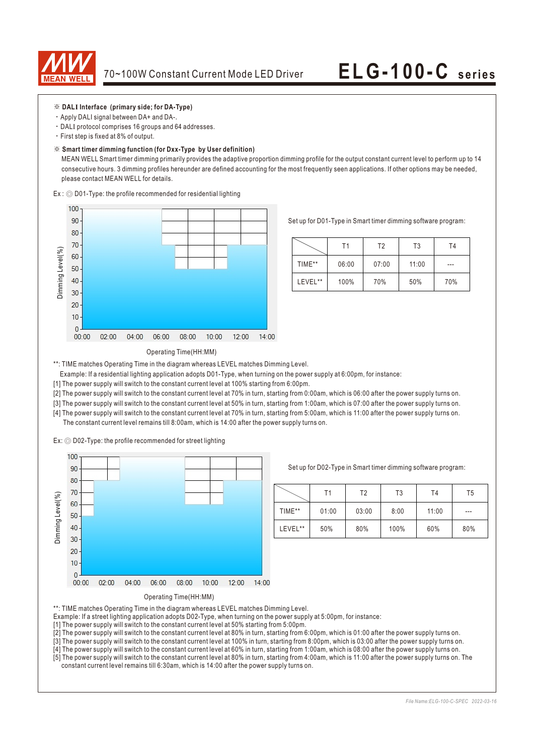

- ※ **DALI Interface (primary side; for DA-Type)**
- ‧Apply DALI signal between DA+ and DA-.
- ‧DALI protocol comprises 16 groups and 64 addresses.
- ‧First step is fixed at 8% of output.

#### ※ **Smart timer dimming function (for Dxx-Type by User definition)**

 MEAN WELL Smart timer dimming primarily provides the adaptive proportion dimming profile for the output constant current level to perform up to 14 consecutive hours. 3 dimming profiles hereunder are defined accounting for the most frequently seen applications. If other options may be needed, please contact MEAN WELL for details.

Ex : ◎ D01-Type: the profile recommended for residential lighting



Set up for D01-Type in Smart timer dimming software program:

|         | Τ1    | T <sub>2</sub> | T <sub>3</sub> | T4  |
|---------|-------|----------------|----------------|-----|
| TIME**  | 06:00 | 07:00          | 11:00          | --- |
| LEVEL** | 100%  | 70%            | 50%            | 70% |

### Operating Time(HH:MM)

\*\*: TIME matches Operating Time in the diagram whereas LEVEL matches Dimming Level.

- Example: If a residential lighting application adopts D01-Type, when turning on the power supply at 6:00pm, for instance:
- [1] The power supply will switch to the constant current level at 100% starting from 6:00pm.
- [2] The power supply will switch to the constant current level at 70% in turn, starting from 0:00am, which is 06:00 after the power supply turns on.
- [3] The power supply will switch to the constant current level at 50% in turn, starting from 1:00am, which is 07:00 after the power supply turns on.
- [4] The power supply will switch to the constant current level at 70% in turn, starting from 5:00am, which is 11:00 after the power supply turns on. The constant current level remains till 8:00am, which is 14:00 after the power supply turns on.

Ex: ◎ D02-Type: the profile recommended for street lighting



Set up for D02-Type in Smart timer dimming software program:

|         | Τ1    | Τ2    | T3   | T <sub>4</sub> | T5    |
|---------|-------|-------|------|----------------|-------|
| TIME**  | 01:00 | 03:00 | 8:00 | 11:00          | $---$ |
| LEVEL** | 50%   | 80%   | 100% | 60%            | 80%   |



- \*\*: TIME matches Operating Time in the diagram whereas LEVEL matches Dimming Level.
- Example: If a street lighting application adopts D02-Type, when turning on the power supply at 5:00pm, for instance:
- [1] The power supply will switch to the constant current level at 50% starting from 5:00pm.
- [2] The power supply will switch to the constant current level at 80% in turn, starting from 6:00pm, which is 01:00 after the power supply turns on.
- [3] The power supply will switch to the constant current level at 100% in turn, starting from 8:00pm, which is 03:00 after the power supply turns on.
- [4] The power supply will switch to the constant current level at 60% in turn, starting from 1:00am, which is 08:00 after the power supply turns on.
- [5] The power supply will switch to the constant current level at 80% in turn, starting from 4:00am, which is 11:00 after the power supply turns on. The constant current level remains till 6:30am, which is 14:00 after the power supply turns on.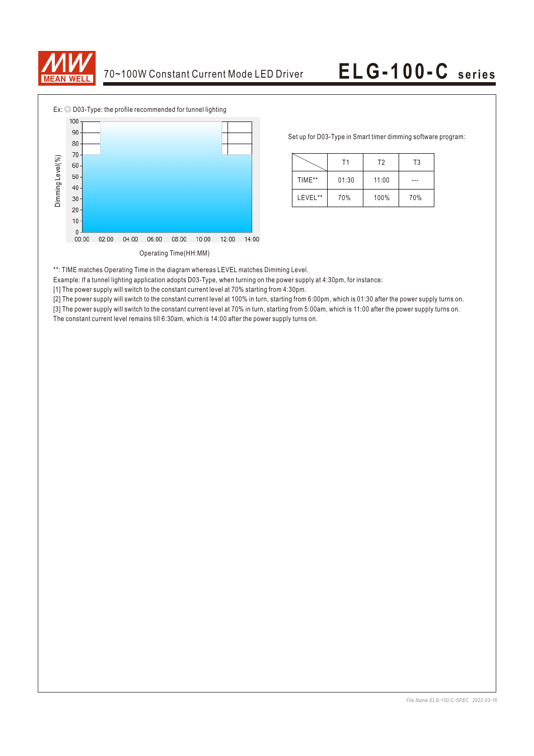



Set up for D03-Type in Smart timer dimming software program:

|         | Τ1    | T <sub>2</sub> | T3  |  |
|---------|-------|----------------|-----|--|
| TIME**  | 01:30 | 11:00          |     |  |
| LEVEL** | 70%   | 100%           | 70% |  |

\*\*: TIME matches Operating Time in the diagram whereas LEVEL matches Dimming Level.

Example: If a tunnel lighting application adopts D03-Type, when turning on the power supply at 4:30pm, for instance:

[1] The power supply will switch to the constant current level at 70% starting from 4:30pm.

[2] The power supply will switch to the constant current level at 100% in turn, starting from 6:00pm, which is 01:30 after the power supply turns on.

[3] The power supply will switch to the constant current level at 70% in turn, starting from 5:00am, which is 11:00 after the power supply turns on. The constant current level remains till 6:30am, which is 14:00 after the power supply turns on.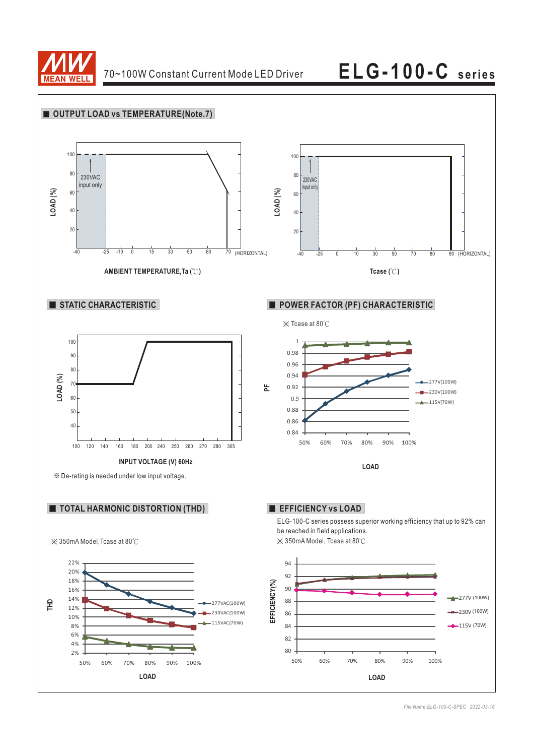

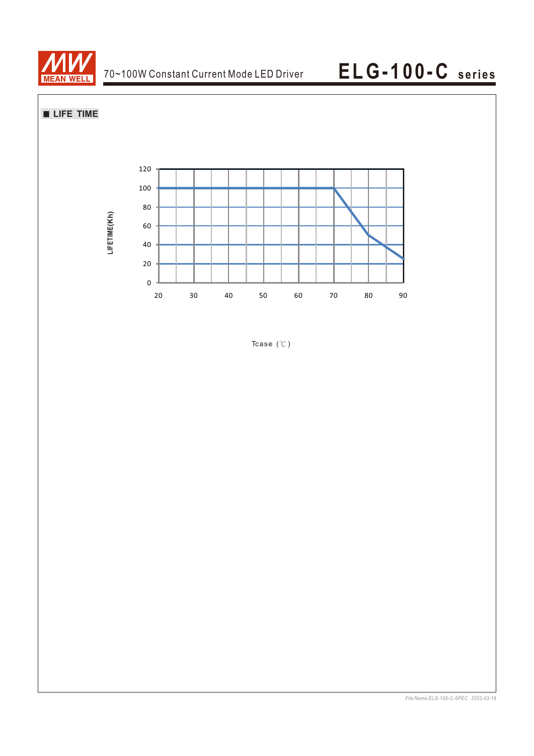

**LIFE TIME**



Tcase (℃)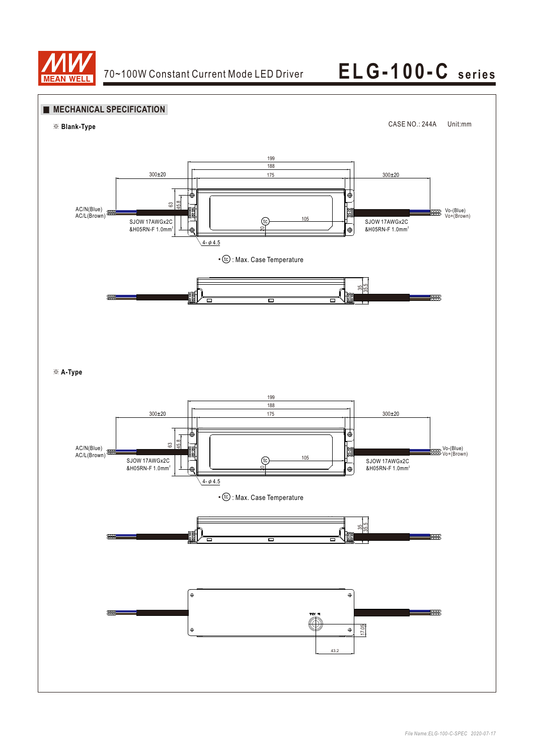

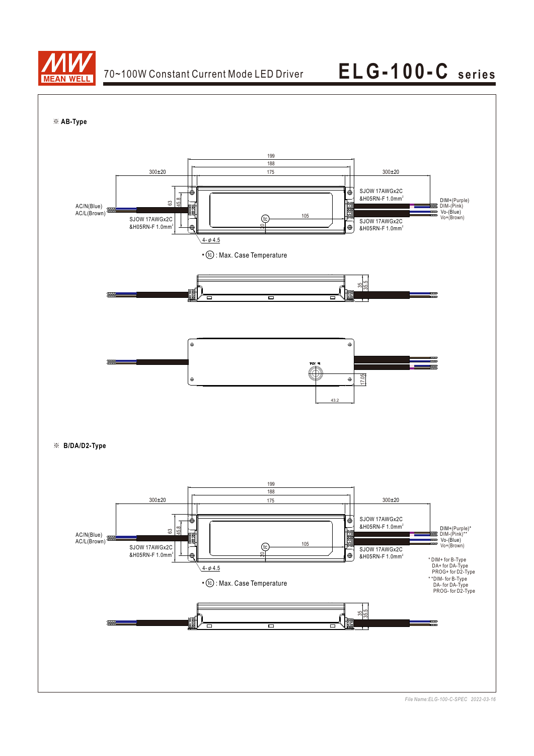